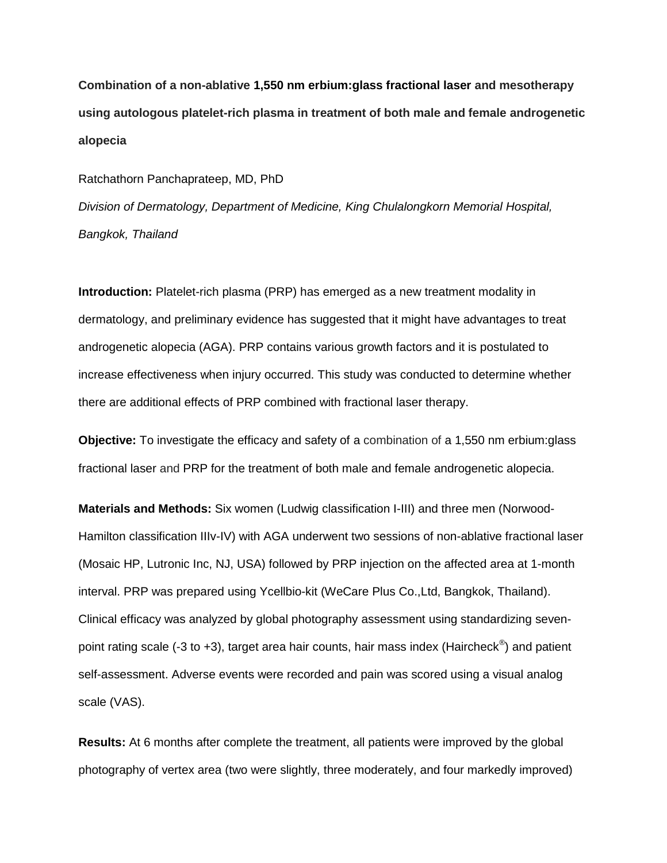**Combination of a non-ablative 1,550 nm erbium:glass fractional laser and mesotherapy using autologous platelet-rich plasma in treatment of both male and female androgenetic alopecia**

Ratchathorn Panchaprateep, MD, PhD

*Division of Dermatology, Department of Medicine, King Chulalongkorn Memorial Hospital, Bangkok, Thailand*

**Introduction:** Platelet-rich plasma (PRP) has emerged as a new treatment modality in dermatology, and preliminary evidence has suggested that it might have advantages to treat androgenetic alopecia (AGA). PRP contains various growth factors and it is postulated to increase effectiveness when injury occurred. This study was conducted to determine whether there are additional effects of PRP combined with fractional laser therapy.

**Objective:** To investigate the efficacy and safety of a combination of a 1,550 nm erbium:glass fractional laser and PRP for the treatment of both male and female androgenetic alopecia.

**Materials and Methods:** Six women (Ludwig classification I-III) and three men (Norwood-Hamilton classification IIIv-IV) with AGA underwent two sessions of non-ablative fractional laser (Mosaic HP, Lutronic Inc, NJ, USA) followed by PRP injection on the affected area at 1-month interval. PRP was prepared using Ycellbio-kit (WeCare Plus Co.,Ltd, Bangkok, Thailand). Clinical efficacy was analyzed by global photography assessment using standardizing sevenpoint rating scale (-3 to +3), target area hair counts, hair mass index (Haircheck $^{\circledast}$ ) and patient self-assessment. Adverse events were recorded and pain was scored using a visual analog scale (VAS).

**Results:** At 6 months after complete the treatment, all patients were improved by the global photography of vertex area (two were slightly, three moderately, and four markedly improved)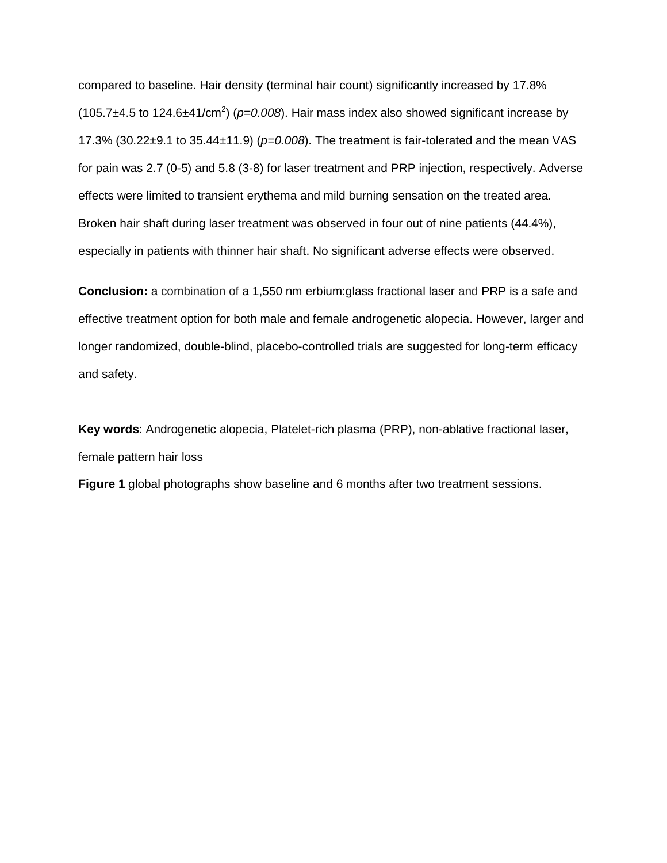compared to baseline. Hair density (terminal hair count) significantly increased by 17.8%  $(105.7\pm4.5$  to 124.6 $\pm$ 41/cm<sup>2</sup>) ( $p$ =0.008). Hair mass index also showed significant increase by 17.3% (30.22±9.1 to 35.44±11.9) (*p=0.008*). The treatment is fair-tolerated and the mean VAS for pain was 2.7 (0-5) and 5.8 (3-8) for laser treatment and PRP injection, respectively. Adverse effects were limited to transient erythema and mild burning sensation on the treated area. Broken hair shaft during laser treatment was observed in four out of nine patients (44.4%), especially in patients with thinner hair shaft. No significant adverse effects were observed.

**Conclusion:** a combination of a 1,550 nm erbium:glass fractional laser and PRP is a safe and effective treatment option for both male and female androgenetic alopecia. However, larger and longer randomized, double-blind, placebo-controlled trials are suggested for long-term efficacy and safety.

**Key words**: Androgenetic alopecia, Platelet-rich plasma (PRP), non-ablative fractional laser, female pattern hair loss

**Figure 1** global photographs show baseline and 6 months after two treatment sessions.